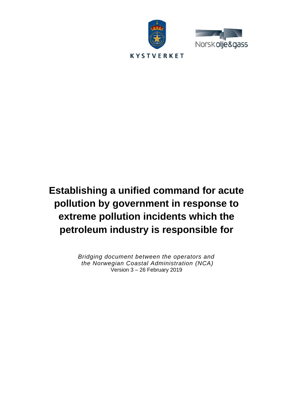



# **Establishing a unified command for acute pollution by government in response to extreme pollution incidents which the petroleum industry is responsible for**

*Bridging document between the operators and the Norwegian Coastal Administration (NCA)* Version 3 – 26 February 2019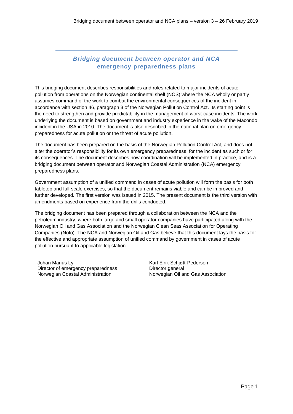# *Bridging document between operator and NCA* **emergency preparedness plans**

This bridging document describes responsibilities and roles related to major incidents of acute pollution from operations on the Norwegian continental shelf (NCS) where the NCA wholly or partly assumes command of the work to combat the environmental consequences of the incident in accordance with section 46, paragraph 3 of the Norwegian Pollution Control Act. Its starting point is the need to strengthen and provide predictability in the management of worst-case incidents. The work underlying the document is based on government and industry experience in the wake of the Macondo incident in the USA in 2010. The document is also described in the national plan on emergency preparedness for acute pollution or the threat of acute pollution.

The document has been prepared on the basis of the Norwegian Pollution Control Act, and does not alter the operator's responsibility for its own emergency preparedness, for the incident as such or for its consequences. The document describes how coordination will be implemented in practice, and is a bridging document between operator and Norwegian Coastal Administration (NCA) emergency preparedness plans.

Government assumption of a unified command in cases of acute pollution will form the basis for both tabletop and full-scale exercises, so that the document remains viable and can be improved and further developed. The first version was issued in 2015. The present document is the third version with amendments based on experience from the drills conducted.

The bridging document has been prepared through a collaboration between the NCA and the petroleum industry, where both large and small operator companies have participated along with the Norwegian Oil and Gas Association and the Norwegian Clean Seas Association for Operating Companies (Nofo). The NCA and Norwegian Oil and Gas believe that this document lays the basis for the effective and appropriate assumption of unified command by government in cases of acute pollution pursuant to applicable legislation.

Johan Marius Ly Director of emergency preparedness Norwegian Coastal Administration

Karl Eirik Schjøtt-Pedersen Director general Norwegian Oil and Gas Association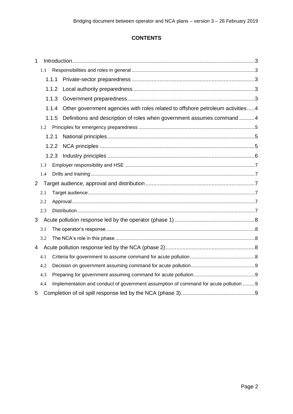# **CONTENTS**

| $\mathbf{1}$   |     |       |                                                                                      |  |
|----------------|-----|-------|--------------------------------------------------------------------------------------|--|
|                | 1.1 |       |                                                                                      |  |
|                |     |       |                                                                                      |  |
|                |     | 1.1.2 |                                                                                      |  |
|                |     | 1.1.3 |                                                                                      |  |
|                |     | 1.1.4 | Other government agencies with roles related to offshore petroleum activities4       |  |
|                |     | 1.1.5 | Definitions and description of roles when government assumes command 4               |  |
| 1.2            |     |       |                                                                                      |  |
|                |     |       |                                                                                      |  |
|                |     | 1.2.2 |                                                                                      |  |
|                |     | 1.2.3 |                                                                                      |  |
|                | 1.3 |       |                                                                                      |  |
|                | 1.4 |       |                                                                                      |  |
| $\overline{2}$ |     |       |                                                                                      |  |
|                | 2.1 |       |                                                                                      |  |
|                | 2.2 |       |                                                                                      |  |
|                | 2.3 |       |                                                                                      |  |
| 3              |     |       |                                                                                      |  |
|                | 3.1 |       |                                                                                      |  |
|                | 3.2 |       |                                                                                      |  |
| 4              |     |       |                                                                                      |  |
|                | 4.1 |       |                                                                                      |  |
|                | 4.2 |       |                                                                                      |  |
|                | 4.3 |       |                                                                                      |  |
|                | 4.4 |       | Implementation and conduct of government assumption of command for acute pollution 9 |  |
| 5              |     |       |                                                                                      |  |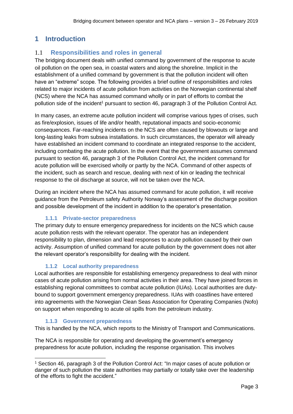# **1 Introduction**

# 1.1 **Responsibilities and roles in general**

The bridging document deals with unified command by government of the response to acute oil pollution on the open sea, in coastal waters and along the shoreline. Implicit in the establishment of a unified command by government is that the pollution incident will often have an "extreme" scope. The following provides a brief outline of responsibilities and roles related to major incidents of acute pollution from activities on the Norwegian continental shelf (NCS) where the NCA has assumed command wholly or in part of efforts to combat the pollution side of the incident<sup>1</sup> pursuant to section 46, paragraph 3 of the Pollution Control Act.

In many cases, an extreme acute pollution incident will comprise various types of crises, such as fire/explosion, issues of life and/or health, reputational impacts and socio-economic consequences. Far-reaching incidents on the NCS are often caused by blowouts or large and long-lasting leaks from subsea installations. In such circumstances, the operator will already have established an incident command to coordinate an integrated response to the accident, including combating the acute pollution. In the event that the government assumes command pursuant to section 46, paragraph 3 of the Pollution Control Act, the incident command for acute pollution will be exercised wholly or partly by the NCA. Command of other aspects of the incident, such as search and rescue, dealing with next of kin or leading the technical response to the oil discharge at source, will not be taken over the NCA.

During an incident where the NCA has assumed command for acute pollution, it will receive guidance from the Petroleum safety Authority Norway's assessment of the discharge position and possible development of the incident in addition to the operator's presentation.

# **1.1.1 Private-sector preparedness**

The primary duty to ensure emergency preparedness for incidents on the NCS which cause acute pollution rests with the relevant operator. The operator has an independent responsibility to plan, dimension and lead responses to acute pollution caused by their own activity. Assumption of unified command for acute pollution by the government does not alter the relevant operator's responsibility for dealing with the incident.

# **1.1.2 Local authority preparedness**

Local authorities are responsible for establishing emergency preparedness to deal with minor cases of acute pollution arising from normal activities in their area. They have joined forces in establishing regional committees to combat acute pollution (IUAs). Local authorities are dutybound to support government emergency preparedness. IUAs with coastlines have entered into agreements with the Norwegian Clean Seas Association for Operating Companies (Nofo) on support when responding to acute oil spills from the petroleum industry.

#### **1.1.3 Government preparedness**

This is handled by the NCA, which reports to the Ministry of Transport and Communications.

The NCA is responsible for operating and developing the government's emergency preparedness for acute pollution, including the response organisation. This involves

 $1$  Section 46, paragraph 3 of the Pollution Control Act: "In major cases of acute pollution or danger of such pollution the state authorities may partially or totally take over the leadership of the efforts to fight the accident."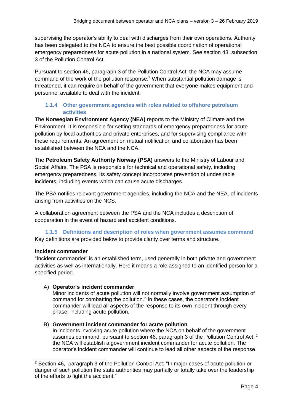supervising the operator's ability to deal with discharges from their own operations. Authority has been delegated to the NCA to ensure the best possible coordination of operational emergency preparedness for acute pollution in a national system. See section 43, subsection 3 of the Pollution Control Act.

Pursuant to section 46, paragraph 3 of the Pollution Control Act, the NCA may assume command of the work of the pollution response. <sup>2</sup> When substantial pollution damage is threatened, it can require on behalf of the government that everyone makes equipment and personnel available to deal with the incident.

### **1.1.4 Other government agencies with roles related to offshore petroleum activities**

The **Norwegian Environment Agency (NEA)** reports to the Ministry of Climate and the Environment. It is responsible for setting standards of emergency preparedness for acute pollution by local authorities and private enterprises, and for supervising compliance with these requirements. An agreement on mutual notification and collaboration has been established between the NEA and the NCA.

The **Petroleum Safety Authority Norway (PSA)** answers to the Ministry of Labour and Social Affairs. The PSA is responsible for technical and operational safety, including emergency preparedness. Its safety concept incorporates prevention of undesirable incidents, including events which can cause acute discharges.

The PSA notifies relevant government agencies, including the NCA and the NEA, of incidents arising from activities on the NCS.

A collaboration agreement between the PSA and the NCA includes a description of cooperation in the event of hazard and accident conditions.

#### **1.1.5 Definitions and description of roles when government assumes command** Key definitions are provided below to provide clarity over terms and structure.

#### **Incident commander**

"Incident commander" is an established term, used generally in both private and government activities as well as internationally. Here it means a role assigned to an identified person for a specified period.

#### A) **Operator's incident commander**

Minor incidents of acute pollution will not normally involve government assumption of command for combatting the pollution.<sup>2</sup> In these cases, the operator's incident commander will lead all aspects of the response to its own incident through every phase, including acute pollution.

#### B) **Government incident commander for acute pollution**

In incidents involving acute pollution where the NCA on behalf of the government assumes command, pursuant to section 46, paragraph 3 of the Pollution Control Act, <sup>2</sup> the NCA will establish a government incident commander for acute pollution. The operator's incident commander will continue to lead all other aspects of the response

<sup>&</sup>lt;sup>2</sup> Section 46, paragraph 3 of the Pollution Control Act: "In major cases of acute pollution or danger of such pollution the state authorities may partially or totally take over the leadership of the efforts to fight the accident."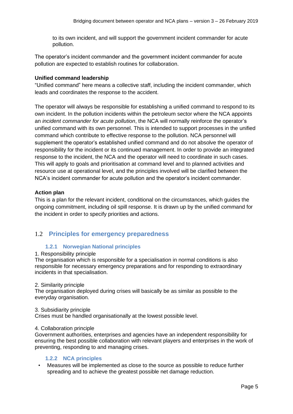to its own incident, and will support the government incident commander for acute pollution.

The operator's incident commander and the government incident commander for acute pollution are expected to establish routines for collaboration.

#### **Unified command leadership**

"Unified command" here means a collective staff, including the incident commander, which leads and coordinates the response to the accident.

The operator will always be responsible for establishing a unified command to respond to its own incident. In the pollution incidents within the petroleum sector where the NCA appoints an *incident commander for acute pollution*, the NCA will normally reinforce the operator's unified command with its own personnel. This is intended to support processes in the unified command which contribute to effective response to the pollution. NCA personnel will supplement the operator's established unified command and do not absolve the operator of responsibility for the incident or its continued management. In order to provide an integrated response to the incident, the NCA and the operator will need to coordinate in such cases. This will apply to goals and prioritisation at command level and to planned activities and resource use at operational level, and the principles involved will be clarified between the NCA's incident commander for acute pollution and the operator's incident commander.

#### **Action plan**

This is a plan for the relevant incident, conditional on the circumstances, which guides the ongoing commitment, including oil spill response. It is drawn up by the unified command for the incident in order to specify priorities and actions.

# 1.2 **Principles for emergency preparedness**

#### **1.2.1 Norwegian National principles**

#### 1. Responsibility principle

The organisation which is responsible for a specialisation in normal conditions is also responsible for necessary emergency preparations and for responding to extraordinary incidents in that specialisation.

#### 2. Similarity principle

The organisation deployed during crises will basically be as similar as possible to the everyday organisation.

#### 3. Subsidiarity principle

Crises must be handled organisationally at the lowest possible level.

#### 4. Collaboration principle

Government authorities, enterprises and agencies have an independent responsibility for ensuring the best possible collaboration with relevant players and enterprises in the work of preventing, responding to and managing crises.

#### **1.2.2 NCA principles**

• Measures will be implemented as close to the source as possible to reduce further spreading and to achieve the greatest possible net damage reduction.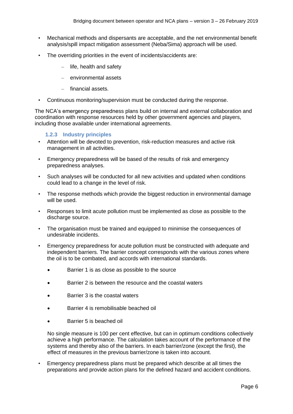- Mechanical methods and dispersants are acceptable, and the net environmental benefit analysis/spill impact mitigation assessment (Neba/Sima) approach will be used.
- The overriding priorities in the event of incidents/accidents are:
	- life, health and safety
	- environmental assets
	- financial assets.
- Continuous monitoring/supervision must be conducted during the response.

The NCA's emergency preparedness plans build on internal and external collaboration and coordination with response resources held by other government agencies and players, including those available under international agreements.

#### **1.2.3 Industry principles**

- Attention will be devoted to prevention, risk-reduction measures and active risk management in all activities.
- Emergency preparedness will be based of the results of risk and emergency preparedness analyses.
- Such analyses will be conducted for all new activities and updated when conditions could lead to a change in the level of risk.
- The response methods which provide the biggest reduction in environmental damage will be used.
- Responses to limit acute pollution must be implemented as close as possible to the discharge source.
- The organisation must be trained and equipped to minimise the consequences of undesirable incidents.
- Emergency preparedness for acute pollution must be constructed with adequate and independent barriers. The barrier concept corresponds with the various zones where the oil is to be combated, and accords with international standards.
	- Barrier 1 is as close as possible to the source
	- Barrier 2 is between the resource and the coastal waters
	- Barrier 3 is the coastal waters
	- Barrier 4 is remobilisable beached oil
	- Barrier 5 is beached oil

No single measure is 100 per cent effective, but can in optimum conditions collectively achieve a high performance. The calculation takes account of the performance of the systems and thereby also of the barriers. In each barrier/zone (except the first), the effect of measures in the previous barrier/zone is taken into account.

• Emergency preparedness plans must be prepared which describe at all times the preparations and provide action plans for the defined hazard and accident conditions.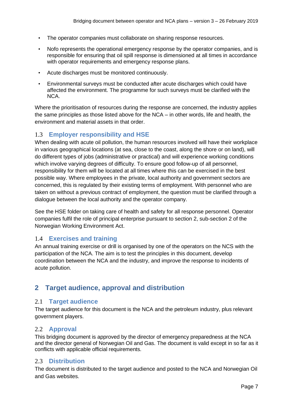- The operator companies must collaborate on sharing response resources.
- Nofo represents the operational emergency response by the operator companies, and is responsible for ensuring that oil spill response is dimensioned at all times in accordance with operator requirements and emergency response plans.
- Acute discharges must be monitored continuously.
- Environmental surveys must be conducted after acute discharges which could have affected the environment. The programme for such surveys must be clarified with the NCA.

Where the prioritisation of resources during the response are concerned, the industry applies the same principles as those listed above for the NCA – in other words, life and health, the environment and material assets in that order.

# 1.3 **Employer responsibility and HSE**

When dealing with acute oil pollution, the human resources involved will have their workplace in various geographical locations (at sea, close to the coast, along the shore or on land), will do different types of jobs (administrative or practical) and will experience working conditions which involve varying degrees of difficulty. To ensure good follow-up of all personnel, responsibility for them will be located at all times where this can be exercised in the best possible way. Where employees in the private, local authority and government sectors are concerned, this is regulated by their existing terms of employment. With personnel who are taken on without a previous contract of employment, the question must be clarified through a dialogue between the local authority and the operator company.

See the HSE folder on taking care of health and safety for all response personnel. Operator companies fulfil the role of principal enterprise pursuant to section 2, sub-section 2 of the Norwegian Working Environment Act.

# 1.4 **Exercises and training**

An annual training exercise or drill is organised by one of the operators on the NCS with the participation of the NCA. The aim is to test the principles in this document, develop coordination between the NCA and the industry, and improve the response to incidents of acute pollution.

# **2 Target audience, approval and distribution**

# 2.1 **Target audience**

The target audience for this document is the NCA and the petroleum industry, plus relevant government players.

# 2.2 **Approval**

This bridging document is approved by the director of emergency preparedness at the NCA and the director general of Norwegian Oil and Gas. The document is valid except in so far as it conflicts with applicable official requirements.

# 2.3 **Distribution**

The document is distributed to the target audience and posted to the NCA and Norwegian Oil and Gas websites.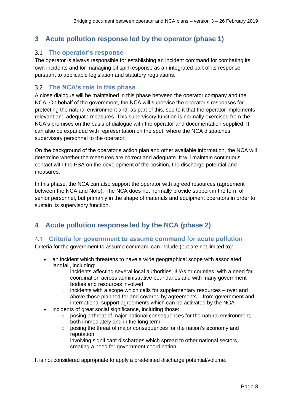# **3 Acute pollution response led by the operator (phase 1)**

### 3.1 **The operator's response**

The operator is always responsible for establishing an incident command for combating its own incidents and for managing oil spill response as an integrated part of its response pursuant to applicable legislation and statutory regulations.

### 3.2 **The NCA's role in this phase**

A close dialogue will be maintained in this phase between the operator company and the NCA. On behalf of the government, the NCA will supervise the operator's responses for protecting the natural environment and, as part of this, see to it that the operator implements relevant and adequate measures. This supervisory function is normally exercised from the NCA's premises on the basis of dialogue with the operator and documentation supplied. It can also be expanded with representation on the spot, where the NCA dispatches supervisory personnel to the operator.

On the background of the operator's action plan and other available information, the NCA will determine whether the measures are correct and adequate. It will maintain continuous contact with the PSA on the development of the position, the discharge potential and measures.

In this phase, the NCA can also support the operator with agreed resources (agreement between the NCA and Nofo). The NCA does not normally provide support in the form of senior personnel, but primarily in the shape of materials and equipment operators in order to sustain its supervisory function.

# **4 Acute pollution response led by the NCA (phase 2)**

#### 4.1 **Criteria for government to assume command for acute pollution**

Criteria for the government to assume command can include (but are not limited to):

- an incident which threatens to have a wide geographical scope with associated landfall, including:
	- $\circ$  incidents affecting several local authorities, IUAs or counties, with a need for coordination across administrative boundaries and with many government bodies and resources involved
	- $\circ$  incidents with a scope which calls for supplementary resources over and above those planned for and covered by agreements – from government and international support agreements which can be activated by the NCA
- incidents of great social significance, including those:
	- $\circ$  posing a threat of major national consequences for the natural environment, both immediately and in the long term
	- o posing the threat of major consequences for the nation's economy and reputation
	- $\circ$  involving significant discharges which spread to other national sectors, creating a need for government coordination.

It is not considered appropriate to apply a predefined discharge potential/volume.